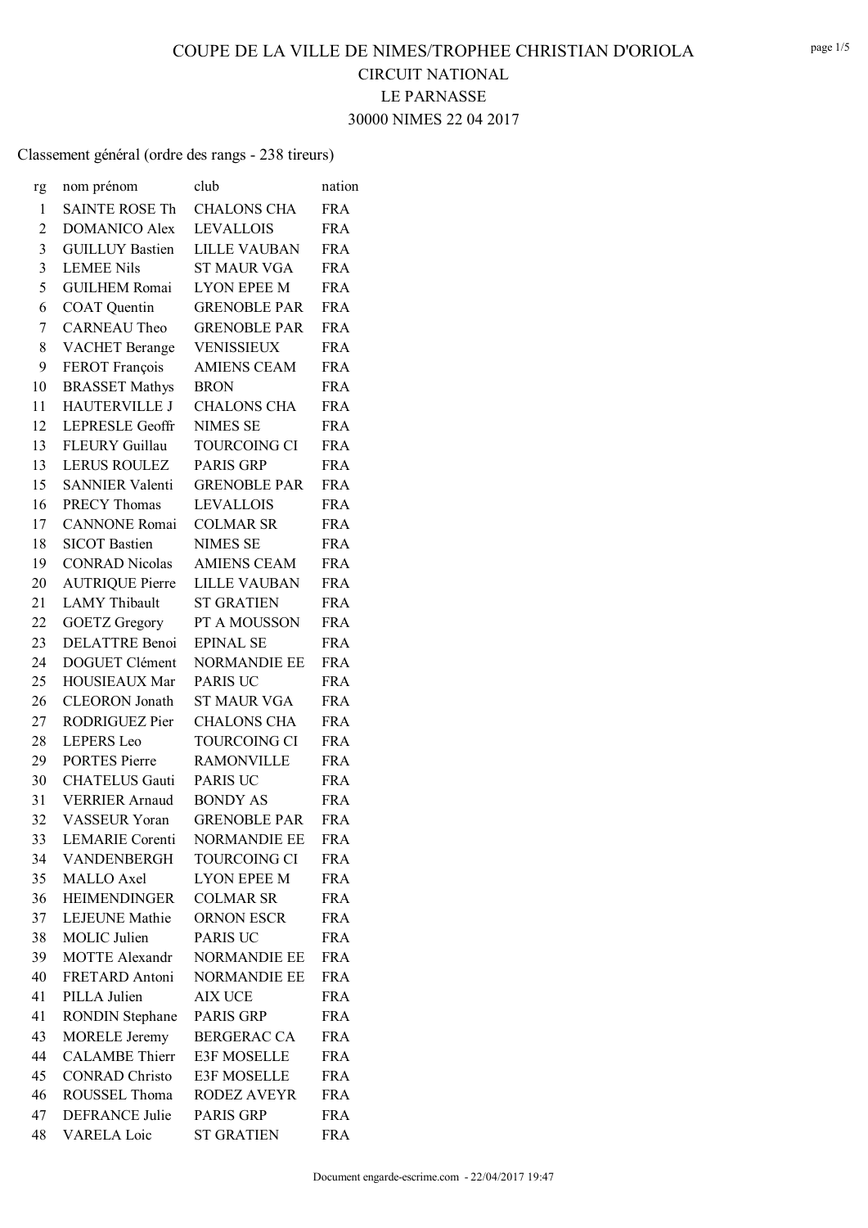# **CIRCUIT NATIONAL** LE PARNASSE

30000 NIMES 22 04 2017

| rg | nom prénom             | club                | nation     |
|----|------------------------|---------------------|------------|
| 1  | <b>SAINTE ROSE Th</b>  | <b>CHALONS CHA</b>  | <b>FRA</b> |
| 2  | <b>DOMANICO Alex</b>   | <b>LEVALLOIS</b>    | <b>FRA</b> |
| 3  | <b>GUILLUY Bastien</b> | <b>LILLE VAUBAN</b> | <b>FRA</b> |
| 3  | <b>LEMEE Nils</b>      | <b>ST MAUR VGA</b>  | <b>FRA</b> |
| 5  | <b>GUILHEM Romai</b>   | <b>LYON EPEE M</b>  | <b>FRA</b> |
| 6  | <b>COAT</b> Quentin    | <b>GRENOBLE PAR</b> | <b>FRA</b> |
| 7  | <b>CARNEAU Theo</b>    | <b>GRENOBLE PAR</b> | <b>FRA</b> |
| 8  | <b>VACHET</b> Berange  | <b>VENISSIEUX</b>   | <b>FRA</b> |
| 9  | FEROT François         | <b>AMIENS CEAM</b>  | <b>FRA</b> |
| 10 | <b>BRASSET Mathys</b>  | <b>BRON</b>         | <b>FRA</b> |
| 11 | <b>HAUTERVILLE J</b>   | <b>CHALONS CHA</b>  | <b>FRA</b> |
| 12 | <b>LEPRESLE Geoffr</b> | <b>NIMES SE</b>     | <b>FRA</b> |
| 13 | FLEURY Guillau         | <b>TOURCOING CI</b> | <b>FRA</b> |
| 13 | <b>LERUS ROULEZ</b>    | <b>PARIS GRP</b>    | <b>FRA</b> |
| 15 | SANNIER Valenti        | <b>GRENOBLE PAR</b> | <b>FRA</b> |
| 16 | <b>PRECY Thomas</b>    | <b>LEVALLOIS</b>    | <b>FRA</b> |
| 17 | <b>CANNONE</b> Romai   | <b>COLMAR SR</b>    | <b>FRA</b> |
| 18 | <b>SICOT</b> Bastien   | <b>NIMES SE</b>     | <b>FRA</b> |
| 19 | <b>CONRAD Nicolas</b>  | <b>AMIENS CEAM</b>  | <b>FRA</b> |
| 20 | <b>AUTRIQUE Pierre</b> | <b>LILLE VAUBAN</b> | <b>FRA</b> |
| 21 | <b>LAMY</b> Thibault   | <b>ST GRATIEN</b>   | <b>FRA</b> |
| 22 | <b>GOETZ</b> Gregory   | PT A MOUSSON        | <b>FRA</b> |
| 23 | <b>DELATTRE Benoi</b>  | <b>EPINAL SE</b>    | <b>FRA</b> |
| 24 | DOGUET Clément         | <b>NORMANDIE EE</b> | <b>FRA</b> |
| 25 | <b>HOUSIEAUX Mar</b>   | <b>PARIS UC</b>     | <b>FRA</b> |
| 26 | <b>CLEORON</b> Jonath  | <b>ST MAUR VGA</b>  | <b>FRA</b> |
| 27 | RODRIGUEZ Pier         | <b>CHALONS CHA</b>  | <b>FRA</b> |
| 28 | <b>LEPERS</b> Leo      | TOURCOING CI        | <b>FRA</b> |
| 29 | <b>PORTES Pierre</b>   | <b>RAMONVILLE</b>   | <b>FRA</b> |
| 30 | <b>CHATELUS Gauti</b>  | <b>PARIS UC</b>     | <b>FRA</b> |
| 31 | <b>VERRIER Arnaud</b>  | <b>BONDY AS</b>     | <b>FRA</b> |
| 32 | <b>VASSEUR Yoran</b>   | <b>GRENOBLE PAR</b> | <b>FRA</b> |
| 33 | <b>LEMARIE</b> Corenti | <b>NORMANDIE EE</b> | <b>FRA</b> |
| 34 | VANDENBERGH            | TOURCOING CI        | <b>FRA</b> |
| 35 | <b>MALLO</b> Axel      | <b>LYON EPEE M</b>  | <b>FRA</b> |
| 36 | <b>HEIMENDINGER</b>    | <b>COLMAR SR</b>    | <b>FRA</b> |
| 37 | LEJEUNE Mathie         | ORNON ESCR          | <b>FRA</b> |
| 38 | MOLIC Julien           | <b>PARIS UC</b>     | <b>FRA</b> |
| 39 | <b>MOTTE Alexandr</b>  | <b>NORMANDIE EE</b> | <b>FRA</b> |
| 40 | FRETARD Antoni         | <b>NORMANDIE EE</b> | <b>FRA</b> |
| 41 | PILLA Julien           | AIX UCE             | <b>FRA</b> |
| 41 | <b>RONDIN Stephane</b> | <b>PARIS GRP</b>    | <b>FRA</b> |
| 43 | <b>MORELE Jeremy</b>   | <b>BERGERAC CA</b>  | <b>FRA</b> |
| 44 | <b>CALAMBE</b> Thierr  | E3F MOSELLE         | <b>FRA</b> |
| 45 | <b>CONRAD Christo</b>  | <b>E3F MOSELLE</b>  | <b>FRA</b> |
| 46 | ROUSSEL Thoma          | RODEZ AVEYR         | <b>FRA</b> |
| 47 | DEFRANCE Julie         | <b>PARIS GRP</b>    | <b>FRA</b> |
| 48 | VARELA Loic            | <b>ST GRATIEN</b>   | <b>FRA</b> |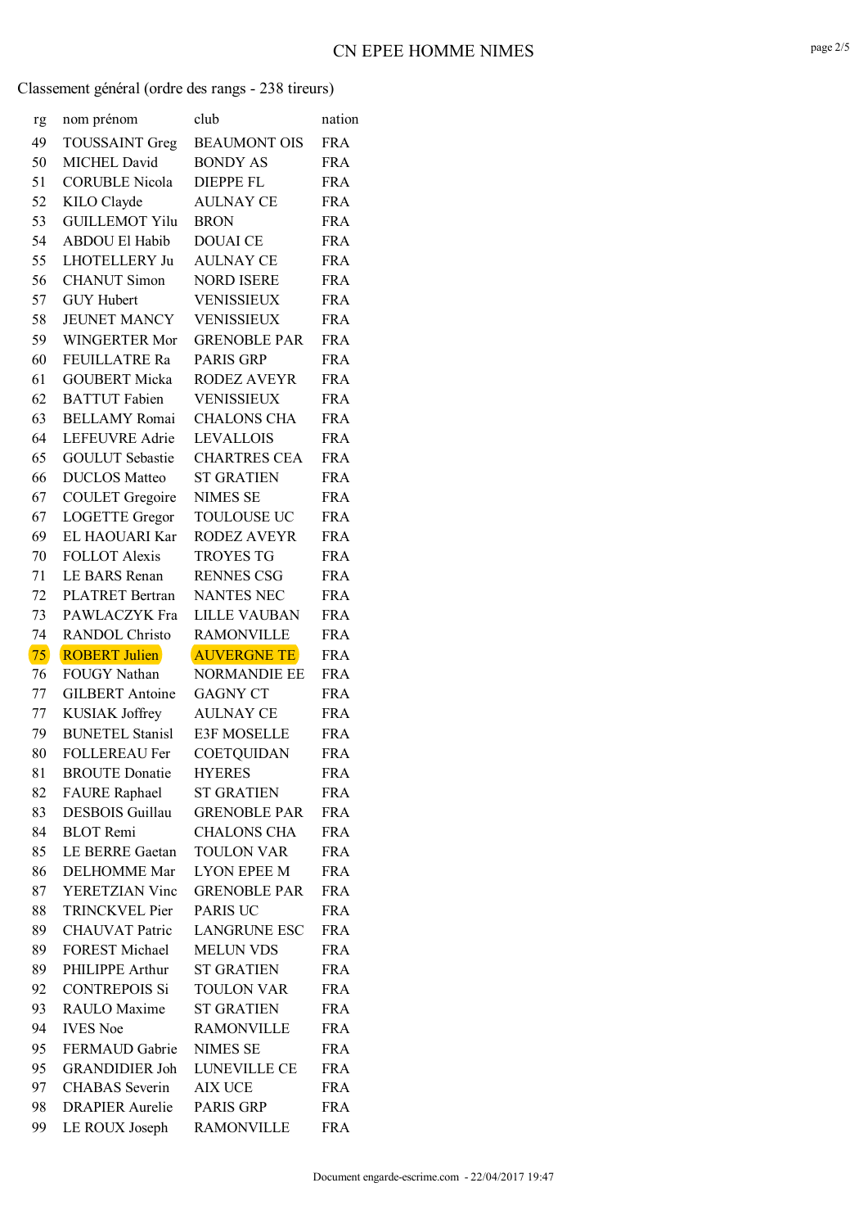| rg       | nom prénom                                    | club                                    | nation                   |
|----------|-----------------------------------------------|-----------------------------------------|--------------------------|
| 49       | <b>TOUSSAINT Greg</b>                         | <b>BEAUMONT OIS</b>                     | <b>FRA</b>               |
| 50       | <b>MICHEL David</b>                           | <b>BONDY AS</b>                         | <b>FRA</b>               |
| 51       | <b>CORUBLE Nicola</b>                         | <b>DIEPPE FL</b>                        | <b>FRA</b>               |
| 52       | KILO Clayde                                   | <b>AULNAY CE</b>                        | <b>FRA</b>               |
| 53       | <b>GUILLEMOT Yilu</b>                         | <b>BRON</b>                             | <b>FRA</b>               |
| 54       | <b>ABDOU El Habib</b>                         | <b>DOUAI CE</b>                         | <b>FRA</b>               |
| 55       | LHOTELLERY Ju                                 | <b>AULNAY CE</b>                        | <b>FRA</b>               |
| 56       | <b>CHANUT Simon</b>                           | <b>NORD ISERE</b>                       | <b>FRA</b>               |
| 57       | <b>GUY Hubert</b>                             | <b>VENISSIEUX</b>                       | <b>FRA</b>               |
| 58       | <b>JEUNET MANCY</b>                           | VENISSIEUX                              | <b>FRA</b>               |
| 59       | WINGERTER Mor                                 | <b>GRENOBLE PAR</b>                     | <b>FRA</b>               |
| 60       | <b>FEUILLATRE Ra</b>                          | <b>PARIS GRP</b>                        | <b>FRA</b>               |
| 61       | <b>GOUBERT Micka</b>                          | <b>RODEZ AVEYR</b>                      | <b>FRA</b>               |
| 62       | <b>BATTUT</b> Fabien                          | VENISSIEUX                              | <b>FRA</b>               |
| 63       | <b>BELLAMY</b> Romai                          | <b>CHALONS CHA</b>                      | <b>FRA</b>               |
| 64       | <b>LEFEUVRE</b> Adrie                         | <b>LEVALLOIS</b>                        | <b>FRA</b>               |
| 65       | <b>GOULUT</b> Sebastie                        | <b>CHARTRES CEA</b>                     | <b>FRA</b>               |
| 66       | <b>DUCLOS</b> Matteo                          | <b>ST GRATIEN</b>                       | <b>FRA</b>               |
| 67       | <b>COULET</b> Gregoire                        | <b>NIMES SE</b>                         | <b>FRA</b>               |
| 67       | <b>LOGETTE</b> Gregor                         | <b>TOULOUSE UC</b>                      | <b>FRA</b>               |
| 69       | EL HAOUARI Kar                                | <b>RODEZ AVEYR</b>                      | <b>FRA</b>               |
| 70       | <b>FOLLOT Alexis</b>                          | TROYES TG                               | <b>FRA</b>               |
| 71       | LE BARS Renan                                 | <b>RENNES CSG</b>                       | <b>FRA</b>               |
| 72       | <b>PLATRET Bertran</b>                        | <b>NANTES NEC</b>                       | <b>FRA</b>               |
| 73       | PAWLACZYK Fra                                 | <b>LILLE VAUBAN</b>                     | <b>FRA</b>               |
|          |                                               |                                         |                          |
|          |                                               |                                         |                          |
| 74       | <b>RANDOL Christo</b><br><b>ROBERT Julien</b> | <b>RAMONVILLE</b><br><b>AUVERGNE TE</b> | <b>FRA</b>               |
| 75<br>76 | <b>FOUGY Nathan</b>                           | <b>NORMANDIE EE</b>                     | <b>FRA</b><br><b>FRA</b> |
| 77       | <b>GILBERT</b> Antoine                        | <b>GAGNY CT</b>                         | <b>FRA</b>               |
| 77       | KUSIAK Joffrey                                | AULNAY CE                               | <b>FRA</b>               |
| 79       | <b>BUNETEL Stanisl</b>                        | <b>E3F MOSELLE</b>                      | <b>FRA</b>               |
| 80       | <b>FOLLEREAU Fer</b>                          | COETQUIDAN                              | <b>FRA</b>               |
| 81       | <b>BROUTE</b> Donatie                         | <b>HYERES</b>                           | <b>FRA</b>               |
| 82       | <b>FAURE</b> Raphael                          | <b>ST GRATIEN</b>                       | <b>FRA</b>               |
| 83       | <b>DESBOIS</b> Guillau                        | <b>GRENOBLE PAR</b>                     | <b>FRA</b>               |
| 84       | <b>BLOT</b> Remi                              | <b>CHALONS CHA</b>                      | <b>FRA</b>               |
| 85       | LE BERRE Gaetan                               | <b>TOULON VAR</b>                       | <b>FRA</b>               |
| 86       | <b>DELHOMME</b> Mar                           | LYON EPEE M                             | <b>FRA</b>               |
| 87       | YERETZIAN Vinc                                | <b>GRENOBLE PAR</b>                     | <b>FRA</b>               |
| 88       | <b>TRINCKVEL Pier</b>                         | <b>PARIS UC</b>                         | <b>FRA</b>               |
| 89       | <b>CHAUVAT</b> Patric                         | <b>LANGRUNE ESC</b>                     | FRA                      |
| 89       | <b>FOREST Michael</b>                         | <b>MELUN VDS</b>                        | <b>FRA</b>               |
| 89       | PHILIPPE Arthur                               | <b>ST GRATIEN</b>                       | <b>FRA</b>               |
| 92       | <b>CONTREPOIS Si</b>                          | <b>TOULON VAR</b>                       | <b>FRA</b>               |
| 93       | RAULO Maxime                                  | <b>ST GRATIEN</b>                       | <b>FRA</b>               |
| 94       | <b>IVES</b> Noe                               | <b>RAMONVILLE</b>                       | <b>FRA</b>               |
| 95       | FERMAUD Gabrie                                | <b>NIMES SE</b>                         | <b>FRA</b>               |
| 95       | <b>GRANDIDIER Joh</b>                         | LUNEVILLE CE                            | <b>FRA</b>               |
| 97       | <b>CHABAS</b> Severin                         | AIX UCE                                 | <b>FRA</b>               |
| 98       | <b>DRAPIER</b> Aurelie                        | PARIS GRP                               | <b>FRA</b>               |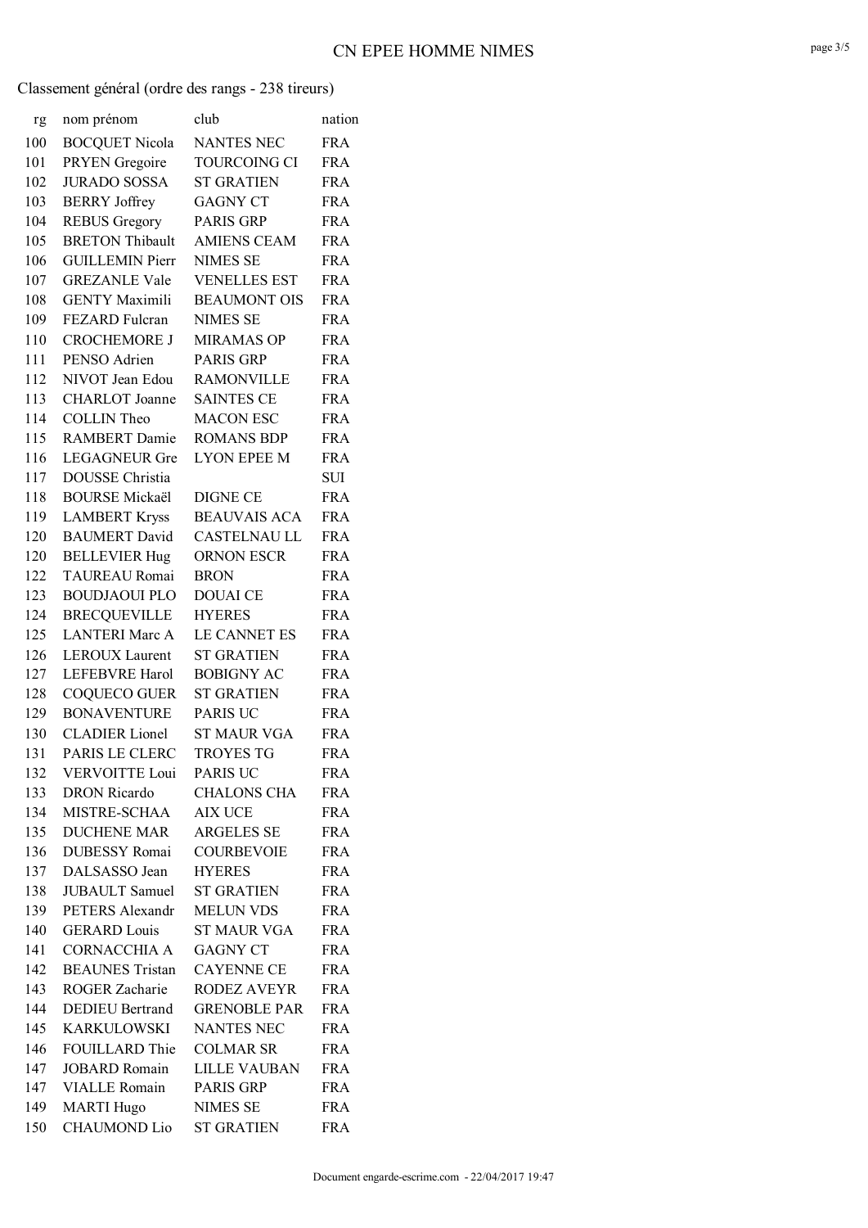# **CN EPEE HOMME NIMES**

| rg  | nom prénom             | club                | nation     |
|-----|------------------------|---------------------|------------|
| 100 | <b>BOCQUET Nicola</b>  | <b>NANTES NEC</b>   | <b>FRA</b> |
| 101 | PRYEN Gregoire         | <b>TOURCOING CI</b> | <b>FRA</b> |
| 102 | <b>JURADO SOSSA</b>    | <b>ST GRATIEN</b>   | <b>FRA</b> |
| 103 | <b>BERRY</b> Joffrey   | <b>GAGNY CT</b>     | <b>FRA</b> |
| 104 | <b>REBUS Gregory</b>   | <b>PARIS GRP</b>    | <b>FRA</b> |
| 105 | <b>BRETON Thibault</b> | <b>AMIENS CEAM</b>  | <b>FRA</b> |
| 106 | <b>GUILLEMIN Pierr</b> | <b>NIMES SE</b>     | <b>FRA</b> |
| 107 | <b>GREZANLE Vale</b>   | <b>VENELLES EST</b> | <b>FRA</b> |
| 108 | <b>GENTY Maximili</b>  | <b>BEAUMONT OIS</b> | <b>FRA</b> |
| 109 | FEZARD Fulcran         | <b>NIMES SE</b>     | <b>FRA</b> |
| 110 | <b>CROCHEMORE J</b>    | <b>MIRAMAS OP</b>   | <b>FRA</b> |
| 111 | PENSO Adrien           | <b>PARIS GRP</b>    | <b>FRA</b> |
| 112 | NIVOT Jean Edou        | <b>RAMONVILLE</b>   | <b>FRA</b> |
| 113 | <b>CHARLOT</b> Joanne  | SAINTES CE          | <b>FRA</b> |
| 114 | <b>COLLIN</b> Theo     | <b>MACON ESC</b>    | <b>FRA</b> |
| 115 | <b>RAMBERT</b> Damie   | <b>ROMANS BDP</b>   | <b>FRA</b> |
| 116 | <b>LEGAGNEUR Gre</b>   | <b>LYON EPEE M</b>  | <b>FRA</b> |
| 117 | <b>DOUSSE</b> Christia |                     | SUI        |
| 118 | <b>BOURSE Mickaël</b>  | <b>DIGNE CE</b>     | <b>FRA</b> |
| 119 | <b>LAMBERT Kryss</b>   | <b>BEAUVAIS ACA</b> | <b>FRA</b> |
| 120 | <b>BAUMERT</b> David   | <b>CASTELNAU LL</b> | <b>FRA</b> |
| 120 | <b>BELLEVIER Hug</b>   | <b>ORNON ESCR</b>   | <b>FRA</b> |
| 122 | <b>TAUREAU Romai</b>   | <b>BRON</b>         | <b>FRA</b> |
| 123 | <b>BOUDJAOUI PLO</b>   | <b>DOUAI</b> CE     | <b>FRA</b> |
| 124 | <b>BRECQUEVILLE</b>    | <b>HYERES</b>       | <b>FRA</b> |
| 125 | <b>LANTERI Marc A</b>  | LE CANNET ES        | <b>FRA</b> |
| 126 | <b>LEROUX Laurent</b>  | <b>ST GRATIEN</b>   | <b>FRA</b> |
| 127 | <b>LEFEBVRE Harol</b>  | <b>BOBIGNY AC</b>   | <b>FRA</b> |
| 128 | <b>COQUECO GUER</b>    | <b>ST GRATIEN</b>   | <b>FRA</b> |
| 129 | <b>BONAVENTURE</b>     | <b>PARIS UC</b>     | <b>FRA</b> |
| 130 | <b>CLADIER</b> Lionel  | <b>ST MAUR VGA</b>  | <b>FRA</b> |
| 131 | PARIS LE CLERC         | <b>TROYES TG</b>    | <b>FRA</b> |
| 132 | <b>VERVOITTE Loui</b>  | <b>PARIS UC</b>     | <b>FRA</b> |
| 133 | <b>DRON</b> Ricardo    | <b>CHALONS CHA</b>  | <b>FRA</b> |
| 134 | MISTRE-SCHAA           | <b>AIX UCE</b>      | <b>FRA</b> |
| 135 | <b>DUCHENE MAR</b>     | <b>ARGELES SE</b>   | <b>FRA</b> |
| 136 | <b>DUBESSY</b> Romai   | <b>COURBEVOIE</b>   | <b>FRA</b> |
| 137 | DALSASSO Jean          | <b>HYERES</b>       | <b>FRA</b> |
| 138 | <b>JUBAULT</b> Samuel  | <b>ST GRATIEN</b>   | <b>FRA</b> |
| 139 | PETERS Alexandr        | <b>MELUN VDS</b>    | <b>FRA</b> |
| 140 | <b>GERARD</b> Louis    | <b>ST MAUR VGA</b>  | <b>FRA</b> |
| 141 | <b>CORNACCHIA A</b>    | <b>GAGNY CT</b>     | <b>FRA</b> |
| 142 | <b>BEAUNES</b> Tristan | <b>CAYENNE CE</b>   | <b>FRA</b> |
| 143 | ROGER Zacharie         | RODEZ AVEYR         | <b>FRA</b> |
| 144 | <b>DEDIEU Bertrand</b> | <b>GRENOBLE PAR</b> | <b>FRA</b> |
| 145 | <b>KARKULOWSKI</b>     | <b>NANTES NEC</b>   | <b>FRA</b> |
| 146 | <b>FOUILLARD Thie</b>  | <b>COLMAR SR</b>    | <b>FRA</b> |
| 147 | <b>JOBARD</b> Romain   | <b>LILLE VAUBAN</b> | <b>FRA</b> |
| 147 | <b>VIALLE</b> Romain   | PARIS GRP           | <b>FRA</b> |
| 149 | <b>MARTI Hugo</b>      | <b>NIMES SE</b>     | <b>FRA</b> |
| 150 | <b>CHAUMOND Lio</b>    | <b>ST GRATIEN</b>   | <b>FRA</b> |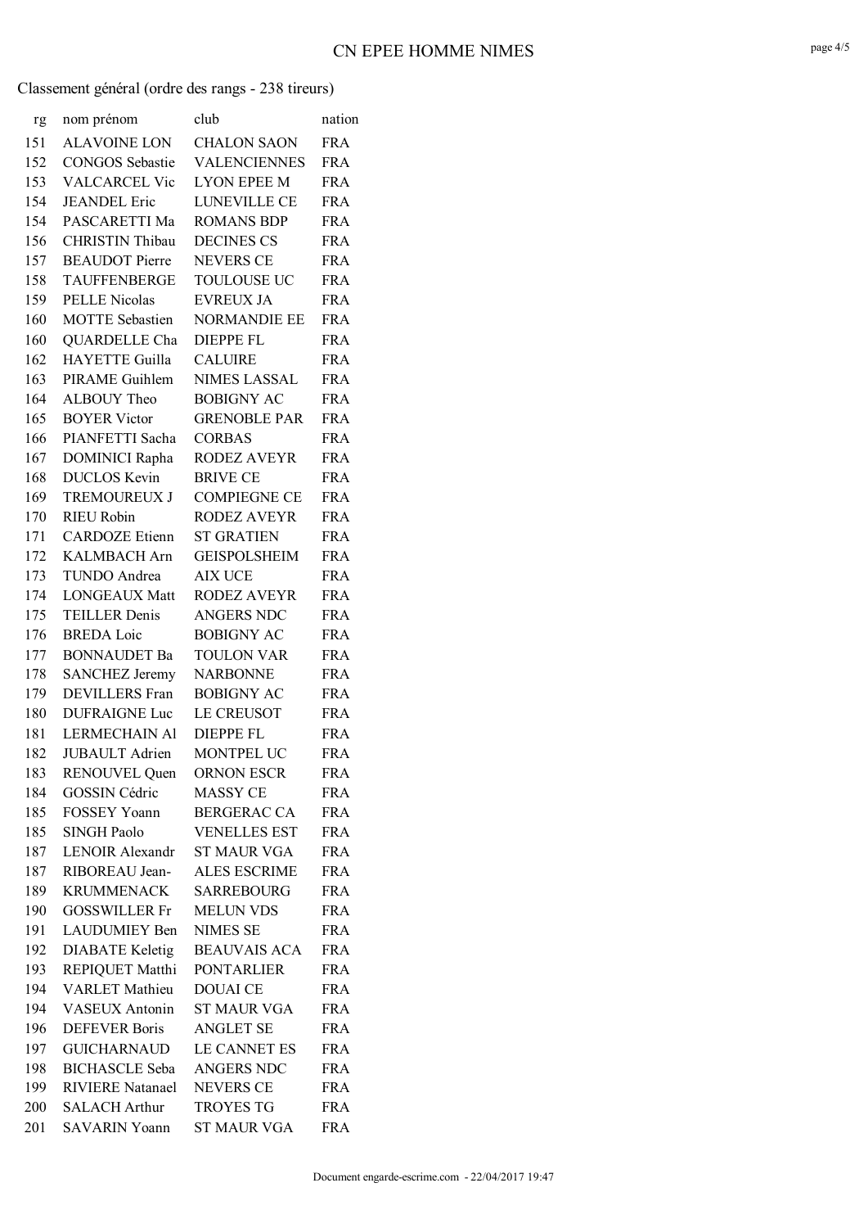# **CN EPEE HOMME NIMES**

| rg  | nom prénom              | club                | nation     |
|-----|-------------------------|---------------------|------------|
| 151 | <b>ALAVOINE LON</b>     | <b>CHALON SAON</b>  | <b>FRA</b> |
| 152 | <b>CONGOS</b> Sebastie  | <b>VALENCIENNES</b> | <b>FRA</b> |
| 153 | <b>VALCARCEL Vic</b>    | <b>LYON EPEE M</b>  | <b>FRA</b> |
| 154 | <b>JEANDEL</b> Eric     | <b>LUNEVILLE CE</b> | <b>FRA</b> |
| 154 | PASCARETTI Ma           | <b>ROMANS BDP</b>   | <b>FRA</b> |
| 156 | CHRISTIN Thibau         | <b>DECINES CS</b>   | <b>FRA</b> |
| 157 | <b>BEAUDOT</b> Pierre   | <b>NEVERS CE</b>    | <b>FRA</b> |
| 158 | <b>TAUFFENBERGE</b>     | <b>TOULOUSE UC</b>  | <b>FRA</b> |
| 159 | <b>PELLE Nicolas</b>    | <b>EVREUX JA</b>    | <b>FRA</b> |
| 160 | <b>MOTTE</b> Sebastien  | <b>NORMANDIE EE</b> | <b>FRA</b> |
| 160 | QUARDELLE Cha           | <b>DIEPPE FL</b>    | <b>FRA</b> |
| 162 | <b>HAYETTE Guilla</b>   | <b>CALUIRE</b>      | <b>FRA</b> |
| 163 | PIRAME Guihlem          | <b>NIMES LASSAL</b> | <b>FRA</b> |
| 164 | ALBOUY Theo             | <b>BOBIGNY AC</b>   | <b>FRA</b> |
| 165 | <b>BOYER Victor</b>     | <b>GRENOBLE PAR</b> | <b>FRA</b> |
| 166 | PIANFETTI Sacha         | <b>CORBAS</b>       | <b>FRA</b> |
| 167 | <b>DOMINICI Rapha</b>   | <b>RODEZ AVEYR</b>  | <b>FRA</b> |
| 168 | <b>DUCLOS</b> Kevin     | <b>BRIVE CE</b>     | <b>FRA</b> |
| 169 | <b>TREMOUREUX J</b>     | <b>COMPIEGNE CE</b> | <b>FRA</b> |
| 170 | <b>RIEU Robin</b>       | <b>RODEZ AVEYR</b>  | <b>FRA</b> |
| 171 | <b>CARDOZE</b> Etienn   | <b>ST GRATIEN</b>   | <b>FRA</b> |
| 172 | KALMBACH Arn            | <b>GEISPOLSHEIM</b> | <b>FRA</b> |
| 173 | TUNDO Andrea            | <b>AIX UCE</b>      | <b>FRA</b> |
| 174 | <b>LONGEAUX Matt</b>    | <b>RODEZ AVEYR</b>  | <b>FRA</b> |
| 175 | <b>TEILLER Denis</b>    | <b>ANGERS NDC</b>   | <b>FRA</b> |
| 176 | <b>BREDA</b> Loic       | <b>BOBIGNY AC</b>   | <b>FRA</b> |
| 177 | <b>BONNAUDET Ba</b>     | <b>TOULON VAR</b>   | <b>FRA</b> |
| 178 | <b>SANCHEZ Jeremy</b>   | <b>NARBONNE</b>     | <b>FRA</b> |
| 179 | <b>DEVILLERS</b> Fran   | <b>BOBIGNY AC</b>   | <b>FRA</b> |
| 180 | <b>DUFRAIGNE Luc</b>    | LE CREUSOT          | <b>FRA</b> |
| 181 | <b>LERMECHAIN AI</b>    | <b>DIEPPE FL</b>    | <b>FRA</b> |
| 182 | <b>JUBAULT</b> Adrien   | MONTPEL UC          | <b>FRA</b> |
| 183 | <b>RENOUVEL Quen</b>    | ORNON ESCR          | <b>FRA</b> |
| 184 | <b>GOSSIN Cédric</b>    | <b>MASSY CE</b>     | <b>FRA</b> |
| 185 | <b>FOSSEY Yoann</b>     | <b>BERGERAC CA</b>  | FRA        |
| 185 | <b>SINGH Paolo</b>      | <b>VENELLES EST</b> | <b>FRA</b> |
| 187 | <b>LENOIR Alexandr</b>  | ST MAUR VGA         | FRA        |
| 187 | RIBOREAU Jean-          | <b>ALES ESCRIME</b> | <b>FRA</b> |
| 189 | <b>KRUMMENACK</b>       | <b>SARREBOURG</b>   | <b>FRA</b> |
| 190 | <b>GOSSWILLER Fr</b>    | <b>MELUN VDS</b>    | <b>FRA</b> |
| 191 | LAUDUMIEY Ben           | <b>NIMES SE</b>     | <b>FRA</b> |
| 192 | <b>DIABATE</b> Keletig  | <b>BEAUVAIS ACA</b> | FRA        |
| 193 | REPIQUET Matthi         | <b>PONTARLIER</b>   | <b>FRA</b> |
| 194 | <b>VARLET</b> Mathieu   | <b>DOUAI CE</b>     | <b>FRA</b> |
| 194 | <b>VASEUX Antonin</b>   | <b>ST MAUR VGA</b>  | <b>FRA</b> |
| 196 | <b>DEFEVER</b> Boris    | <b>ANGLET SE</b>    | <b>FRA</b> |
| 197 | <b>GUICHARNAUD</b>      | LE CANNET ES        | <b>FRA</b> |
| 198 | <b>BICHASCLE</b> Seba   | ANGERS NDC          | <b>FRA</b> |
| 199 | <b>RIVIERE</b> Natanael | <b>NEVERS CE</b>    | <b>FRA</b> |
| 200 | <b>SALACH Arthur</b>    | <b>TROYES TG</b>    | <b>FRA</b> |
| 201 | <b>SAVARIN Yoann</b>    | <b>ST MAUR VGA</b>  | <b>FRA</b> |